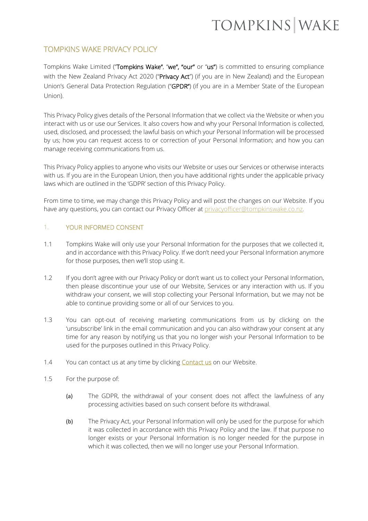# TOMPKINS WAKE PRIVACY POLICY

Tompkins Wake Limited ("Tompkins Wake", "we", "our" or "us") is committed to ensuring compliance with the New Zealand Privacy Act 2020 ("Privacy Act") (if you are in New Zealand) and the European Union's General Data Protection Regulation ("GPDR") (if you are in a Member State of the European Union).

This Privacy Policy gives details of the Personal Information that we collect via the Website or when you interact with us or use our Services. It also covers how and why your Personal Information is collected, used, disclosed, and processed; the lawful basis on which your Personal Information will be processed by us; how you can request access to or correction of your Personal Information; and how you can manage receiving communications from us.

This Privacy Policy applies to anyone who visits our Website or uses our Services or otherwise interacts with us. If you are in the European Union, then you have additional rights under the applicable privacy laws which are outlined in the 'GDPR' section of this Privacy Policy.

From time to time, we may change this Privacy Policy and will post the changes on our Website. If you have any questions, you can contact our Privacy Officer at [privacyofficer@tompkinswake.co.nz.](mailto:privacyofficer@tompkinswake.co.nz)

# 1. YOUR INFORMED CONSENT

- 1.1 Tompkins Wake will only use your Personal Information for the purposes that we collected it, and in accordance with this Privacy Policy. If we don't need your Personal Information anymore for those purposes, then we'll stop using it.
- 1.2 If you don't agree with our Privacy Policy or don't want us to collect your Personal Information, then please discontinue your use of our Website, Services or any interaction with us. If you withdraw your consent, we will stop collecting your Personal Information, but we may not be able to continue providing some or all of our Services to you.
- 1.3 You can opt-out of receiving marketing communications from us by clicking on the 'unsubscribe' link in the email communication and you can also withdraw your consent at any time for any reason by notifying us that you no longer wish your Personal Information to be used for the purposes outlined in this Privacy Policy.
- 1.4 You can contact us at any time by clicking **Contact us** on our Website.
- 1.5 For the purpose of:
	- (a) The GDPR, the withdrawal of your consent does not affect the lawfulness of any processing activities based on such consent before its withdrawal.
	- (b) The Privacy Act, your Personal Information will only be used for the purpose for which it was collected in accordance with this Privacy Policy and the law. If that purpose no longer exists or your Personal Information is no longer needed for the purpose in which it was collected, then we will no longer use your Personal Information.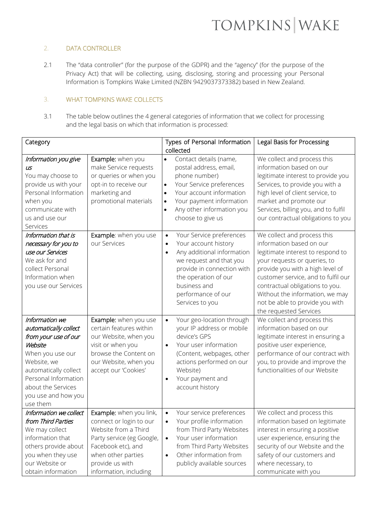# 2. DATA CONTROLLER

2.1 The "data controller" (for the purpose of the GDPR) and the "agency" (for the purpose of the Privacy Act) that will be collecting, using, disclosing, storing and processing your Personal Information is Tompkins Wake Limited (NZBN 9429037373382) based in New Zealand.

# 3. WHAT TOMPKINS WAKE COLLECTS

3.1 The table below outlines the 4 general categories of information that we collect for processing and the legal basis on which that information is processed:

| Category                                                                                                                                                                                                                |                                                                                                                                                                                                                           | Types of Personal Information<br>Legal Basis for Processing                                                                                                                                                                                                                                                                                                                                                                                                                                                                                                                                                   |
|-------------------------------------------------------------------------------------------------------------------------------------------------------------------------------------------------------------------------|---------------------------------------------------------------------------------------------------------------------------------------------------------------------------------------------------------------------------|---------------------------------------------------------------------------------------------------------------------------------------------------------------------------------------------------------------------------------------------------------------------------------------------------------------------------------------------------------------------------------------------------------------------------------------------------------------------------------------------------------------------------------------------------------------------------------------------------------------|
|                                                                                                                                                                                                                         |                                                                                                                                                                                                                           | collected                                                                                                                                                                                                                                                                                                                                                                                                                                                                                                                                                                                                     |
| Information you give<br>US<br>You may choose to<br>provide us with your<br>Personal Information<br>when you<br>communicate with<br>us and use our<br>Services                                                           | Example: when you<br>make Service requests<br>or queries or when you<br>opt-in to receive our<br>marketing and<br>promotional materials                                                                                   | Contact details (name,<br>We collect and process this<br>$\bullet$<br>information based on our<br>postal address, email,<br>phone number)<br>legitimate interest to provide you<br>Your Service preferences<br>Services, to provide you with a<br>$\bullet$<br>high level of client service, to<br>Your account information<br>$\bullet$<br>Your payment information<br>market and promote our<br>$\bullet$<br>Services, billing you, and to fulfil<br>Any other information you<br>$\bullet$<br>our contractual obligations to you<br>choose to give us                                                      |
| Information that is<br>necessary for you to<br>use our Services<br>We ask for and<br>collect Personal<br>Information when<br>you use our Services                                                                       | Example: when you use<br>our Services                                                                                                                                                                                     | Your Service preferences<br>We collect and process this<br>$\bullet$<br>information based on our<br>Your account history<br>$\bullet$<br>Any additional information<br>legitimate interest to respond to<br>$\bullet$<br>we request and that you<br>your requests or queries, to<br>provide in connection with<br>provide you with a high level of<br>the operation of our<br>customer service, and to fulfil our<br>business and<br>contractual obligations to you.<br>performance of our<br>Without the information, we may<br>not be able to provide you with<br>Services to you<br>the requested Services |
| Information we<br>automatically collect<br>from your use of our<br>Website<br>When you use our<br>Website, we<br>automatically collect<br>Personal Information<br>about the Services<br>you use and how you<br>use them | Example: when you use<br>certain features within<br>our Website, when you<br>visit or when you<br>browse the Content on<br>our Website, when you<br>accept our 'Cookies'                                                  | Your geo-location through<br>We collect and process this<br>$\bullet$<br>information based on our<br>your IP address or mobile<br>device's GPS<br>legitimate interest in ensuring a<br>Your user information<br>positive user experience,<br>$\bullet$<br>(Content, webpages, other<br>performance of our contract with<br>actions performed on our<br>you, to provide and improve the<br>functionalities of our Website<br>Website)<br>Your payment and<br>$\bullet$<br>account history                                                                                                                      |
| from Third Parties<br>We may collect<br>information that<br>others provide about<br>you when they use<br>our Website or<br>obtain information                                                                           | Information we collect   Example: when you link,<br>connect or login to our<br>Website from a Third<br>Party service (eg Google,<br>Facebook etc), and<br>when other parties<br>provide us with<br>information, including | Your service preferences<br>We collect and process this<br>Your profile information<br>information based on legitimate<br>$\bullet$<br>from Third Party Websites<br>interest in ensuring a positive<br>Your user information<br>user experience, ensuring the<br>$\bullet$<br>from Third Party Websites<br>security of our Website and the<br>Other information from<br>safety of our customers and<br>$\bullet$<br>publicly available sources<br>where necessary, to<br>communicate with you                                                                                                                 |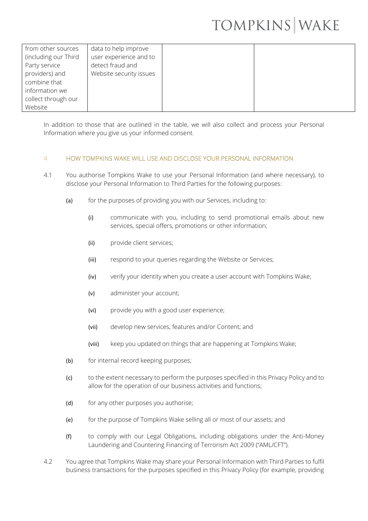| from other sources<br>(including our Third | data to help improve<br>user experience and to |
|--------------------------------------------|------------------------------------------------|
| Party service                              | detect fraud and                               |
| providers) and                             | Website security issues                        |
| combine that<br>information we             |                                                |
| collect through our                        |                                                |
| Website                                    |                                                |

In addition to those that are outlined in the table, we will also collect and process your Personal Information where you give us your informed consent.

### 4. HOW TOMPKINS WAKE WILL USE AND DISCLOSE YOUR PERSONAL INFORMATION

- 4.1 You authorise Tompkins Wake to use your Personal Information (and where necessary), to disclose your Personal Information to Third Parties for the following purposes:
	- (a) for the purposes of providing you with our Services, including to:
		- (i) communicate with you, including to send promotional emails about new services, special offers, promotions or other information;
		- (ii) provide client services;
		- (iii) respond to your queries regarding the Website or Services;
		- (iv) verify your identity when you create a user account with Tompkins Wake;
		- (v) administer your account;
		- (vi) provide you with a good user experience;
		- (vii) develop new services, features and/or Content; and
		- (viii) keep you updated on things that are happening at Tompkins Wake;
	- (b) for internal record keeping purposes;
	- (c) to the extent necessary to perform the purposes specified in this Privacy Policy and to allow for the operation of our business activities and functions;
	- (d) for any other purposes you authorise;
	- (e) for the purpose of Tompkins Wake selling all or most of our assets; and
	- (f) to comply with our Legal Obligations, including obligations under the Anti-Money Laundering and Countering Financing of Terrorism Act 2009 ("AML/CFT").
- 4.2 You agree that Tompkins Wake may share your Personal Information with Third Parties to fulfil business transactions for the purposes specified in this Privacy Policy (for example, providing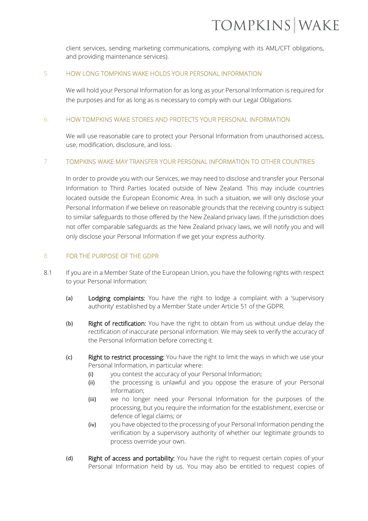client services, sending marketing communications, complying with its AML/CFT obligations, and providing maintenance services).

#### 5. HOW LONG TOMPKINS WAKE HOLDS YOUR PERSONAL INFORMATION

We will hold your Personal Information for as long as your Personal Information is required for the purposes and for as long as is necessary to comply with our Legal Obligations.

#### 6. HOW TOMPKINS WAKE STORES AND PROTECTS YOUR PERSONAL INFORMATION

We will use reasonable care to protect your Personal Information from unauthorised access, use, modification, disclosure, and loss.

### 7. TOMPKINS WAKE MAY TRANSFER YOUR PERSONAL INFORMATION TO OTHER COUNTRIES

In order to provide you with our Services, we may need to disclose and transfer your Personal Information to Third Parties located outside of New Zealand. This may include countries located outside the European Economic Area. In such a situation, we will only disclose your Personal Information if we believe on reasonable grounds that the receiving country is subject to similar safeguards to those offered by the New Zealand privacy laws. If the jurisdiction does not offer comparable safeguards as the New Zealand privacy laws, we will notify you and will only disclose your Personal Information if we get your express authority.

#### 8. FOR THE PURPOSE OF THE GDPR

- 8.1 If you are in a Member State of the European Union, you have the following rights with respect to your Personal Information:
	- (a) Lodging complaints: You have the right to lodge a complaint with a 'supervisory authority' established by a Member State under Article 51 of the GDPR.
	- (b) Right of rectification: You have the right to obtain from us without undue delay the rectification of inaccurate personal information. We may seek to verify the accuracy of the Personal Information before correcting it.
	- (c) Right to restrict processing: You have the right to limit the ways in which we use your Personal Information, in particular where:
		- (i) you contest the accuracy of your Personal Information;
		- (ii) the processing is unlawful and you oppose the erasure of your Personal Information;
		- (iii) we no longer need your Personal Information for the purposes of the processing, but you require the information for the establishment, exercise or defence of legal claims; or
		- (iv) you have objected to the processing of your Personal Information pending the verification by a supervisory authority of whether our legitimate grounds to process override your own.
	- (d) Right of access and portability: You have the right to request certain copies of your Personal Information held by us. You may also be entitled to request copies of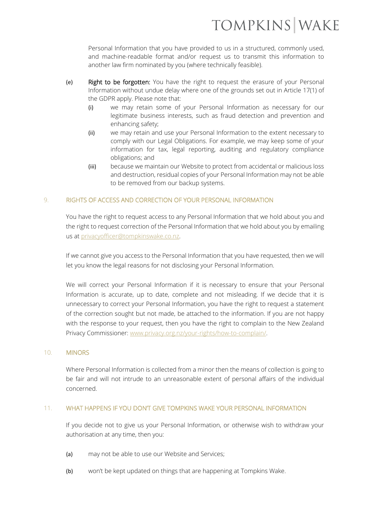Personal Information that you have provided to us in a structured, commonly used, and machine-readable format and/or request us to transmit this information to another law firm nominated by you (where technically feasible).

- (e) Right to be forgotten: You have the right to request the erasure of your Personal Information without undue delay where one of the grounds set out in Article 17(1) of the GDPR apply. Please note that:
	- (i) we may retain some of your Personal Information as necessary for our legitimate business interests, such as fraud detection and prevention and enhancing safety;
	- (ii) we may retain and use your Personal Information to the extent necessary to comply with our Legal Obligations. For example, we may keep some of your information for tax, legal reporting, auditing and regulatory compliance obligations; and
	- (iii) because we maintain our Website to protect from accidental or malicious loss and destruction, residual copies of your Personal Information may not be able to be removed from our backup systems.

# 9. RIGHTS OF ACCESS AND CORRECTION OF YOUR PERSONAL INFORMATION

You have the right to request access to any Personal Information that we hold about you and the right to request correction of the Personal Information that we hold about you by emailing us at [privacyofficer@tompkinswake.co.nz.](mailto:privacyofficer@tompkinswake.co.nz)

If we cannot give you access to the Personal Information that you have requested, then we will let you know the legal reasons for not disclosing your Personal Information.

We will correct your Personal Information if it is necessary to ensure that your Personal Information is accurate, up to date, complete and not misleading. If we decide that it is unnecessary to correct your Personal Information, you have the right to request a statement of the correction sought but not made, be attached to the information. If you are not happy with the response to your request, then you have the right to complain to the New Zealand Privacy Commissioner: [www.privacy.org.nz/your-rights/how-to-complain/.](http://www.privacy.org.nz/your-rights/how-to-complain/)

### 10. MINORS

Where Personal Information is collected from a minor then the means of collection is going to be fair and will not intrude to an unreasonable extent of personal affairs of the individual concerned.

### 11. WHAT HAPPENS IF YOU DON'T GIVE TOMPKINS WAKE YOUR PERSONAL INFORMATION

If you decide not to give us your Personal Information, or otherwise wish to withdraw your authorisation at any time, then you:

- (a) may not be able to use our Website and Services;
- (b) won't be kept updated on things that are happening at Tompkins Wake.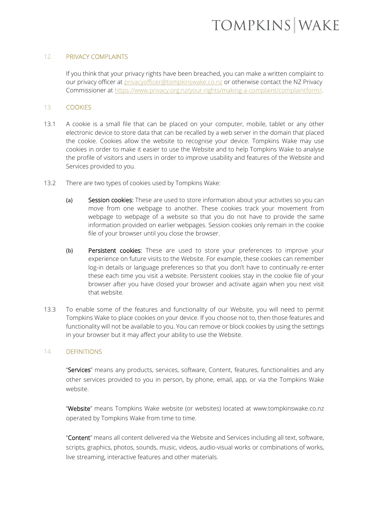#### 12. PRIVACY COMPLAINTS

If you think that your privacy rights have been breached, you can make a written complaint to our privacy officer at [privacyofficer@tompkinswake.co.nz](mailto:privacyofficer@tompkinswake.co.nz) or otherwise contact the NZ Privacy Commissioner at [https://www.privacy.org.nz/your-rights/making-a-complaint/complaintform/.](https://www.privacy.org.nz/your-rights/making-a-complaint/complaintform/)

#### 13. COOKIES

- 13.1 A cookie is a small file that can be placed on your computer, mobile, tablet or any other electronic device to store data that can be recalled by a web server in the domain that placed the cookie. Cookies allow the website to recognise your device. Tompkins Wake may use cookies in order to make it easier to use the Website and to help Tompkins Wake to analyse the profile of visitors and users in order to improve usability and features of the Website and Services provided to you.
- 13.2 There are two types of cookies used by Tompkins Wake:
	- (a) Session cookies: These are used to store information about your activities so you can move from one webpage to another. These cookies track your movement from webpage to webpage of a website so that you do not have to provide the same information provided on earlier webpages. Session cookies only remain in the cookie file of your browser until you close the browser.
	- (b) Persistent cookies: These are used to store your preferences to improve your experience on future visits to the Website. For example, these cookies can remember log-in details or language preferences so that you don't have to continually re-enter these each time you visit a website. Persistent cookies stay in the cookie file of your browser after you have closed your browser and activate again when you next visit that website.
- 13.3 To enable some of the features and functionality of our Website, you will need to permit Tompkins Wake to place cookies on your device. If you choose not to, then those features and functionality will not be available to you. You can remove or block cookies by using the settings in your browser but it may affect your ability to use the Website.

### 14. DEFINITIONS

"Services" means any products, services, software, Content, features, functionalities and any other services provided to you in person, by phone, email, app, or via the Tompkins Wake website.

"Website" means Tompkins Wake website (or websites) located at www.tompkinswake.co.nz operated by Tompkins Wake from time to time.

"Content" means all content delivered via the Website and Services including all text, software, scripts, graphics, photos, sounds, music, videos, audio-visual works or combinations of works, live streaming, interactive features and other materials.